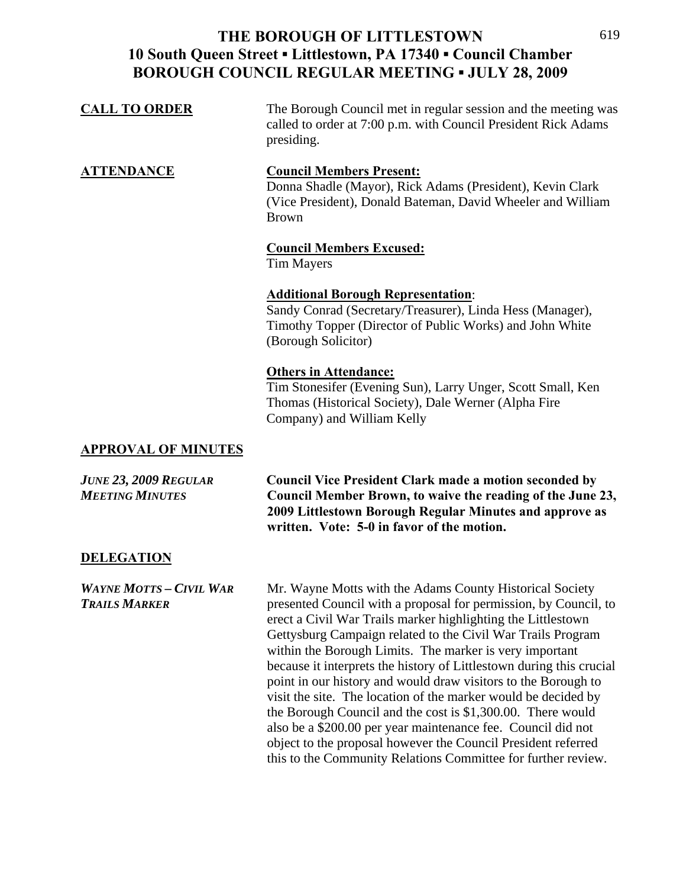| <b>CALL TO ORDER</b> | The Borough Council met in regular session and the meeting was |
|----------------------|----------------------------------------------------------------|
|                      | called to order at 7:00 p.m. with Council President Rick Adams |
|                      | presiding.                                                     |

#### **ATTENDANCE Council Members Present:** Donna Shadle (Mayor), Rick Adams (President), Kevin Clark (Vice President), Donald Bateman, David Wheeler and William Brown

#### **Council Members Excused:**

Tim Mayers

#### **Additional Borough Representation**:

Sandy Conrad (Secretary/Treasurer), Linda Hess (Manager), Timothy Topper (Director of Public Works) and John White (Borough Solicitor)

#### **Others in Attendance:**

Tim Stonesifer (Evening Sun), Larry Unger, Scott Small, Ken Thomas (Historical Society), Dale Werner (Alpha Fire Company) and William Kelly

#### **APPROVAL OF MINUTES**

*JUNE 23, 2009 REGULAR* **Council Vice President Clark made a motion seconded by**  *MEETING MINUTES* **Council Member Brown, to waive the reading of the June 23, 2009 Littlestown Borough Regular Minutes and approve as written. Vote: 5-0 in favor of the motion.** 

#### **DELEGATION**

*WAYNE MOTTS – CIVIL WAR* Mr. Wayne Motts with the Adams County Historical Society *TRAILS MARKER* presented Council with a proposal for permission, by Council, to erect a Civil War Trails marker highlighting the Littlestown Gettysburg Campaign related to the Civil War Trails Program within the Borough Limits. The marker is very important because it interprets the history of Littlestown during this crucial point in our history and would draw visitors to the Borough to visit the site. The location of the marker would be decided by the Borough Council and the cost is \$1,300.00. There would also be a \$200.00 per year maintenance fee. Council did not object to the proposal however the Council President referred this to the Community Relations Committee for further review.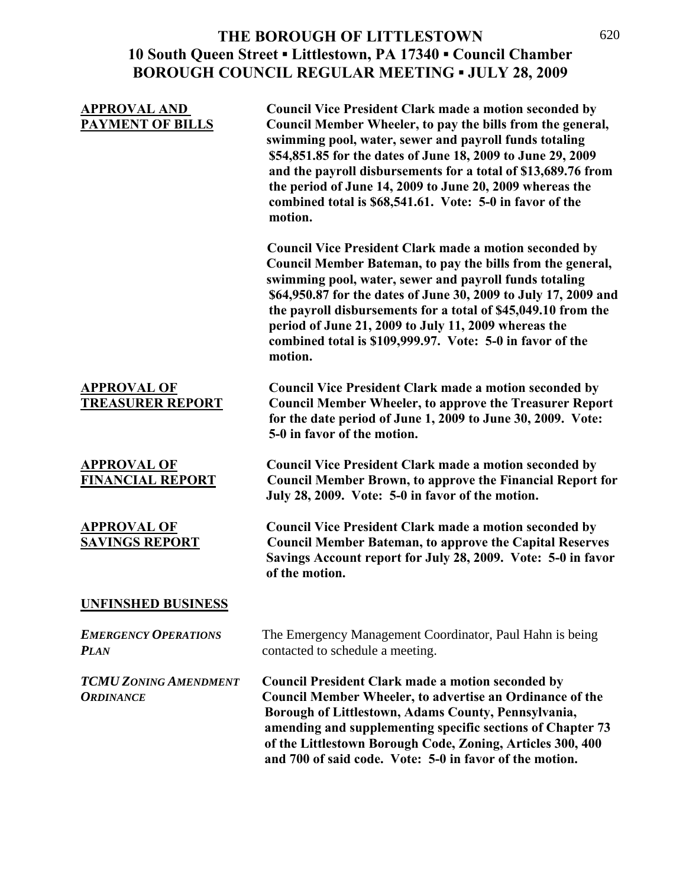| <b>APPROVAL AND</b><br><b>PAYMENT OF BILLS</b>   | <b>Council Vice President Clark made a motion seconded by</b><br>Council Member Wheeler, to pay the bills from the general,<br>swimming pool, water, sewer and payroll funds totaling<br>\$54,851.85 for the dates of June 18, 2009 to June 29, 2009<br>and the payroll disbursements for a total of \$13,689.76 from<br>the period of June 14, 2009 to June 20, 2009 whereas the<br>combined total is \$68,541.61. Vote: 5-0 in favor of the<br>motion.  |
|--------------------------------------------------|-----------------------------------------------------------------------------------------------------------------------------------------------------------------------------------------------------------------------------------------------------------------------------------------------------------------------------------------------------------------------------------------------------------------------------------------------------------|
|                                                  | <b>Council Vice President Clark made a motion seconded by</b><br>Council Member Bateman, to pay the bills from the general,<br>swimming pool, water, sewer and payroll funds totaling<br>\$64,950.87 for the dates of June 30, 2009 to July 17, 2009 and<br>the payroll disbursements for a total of \$45,049.10 from the<br>period of June 21, 2009 to July 11, 2009 whereas the<br>combined total is \$109,999.97. Vote: 5-0 in favor of the<br>motion. |
| <b>APPROVAL OF</b><br><b>TREASURER REPORT</b>    | <b>Council Vice President Clark made a motion seconded by</b><br><b>Council Member Wheeler, to approve the Treasurer Report</b><br>for the date period of June 1, 2009 to June 30, 2009. Vote:<br>5-0 in favor of the motion.                                                                                                                                                                                                                             |
| <b>APPROVAL OF</b><br><b>FINANCIAL REPORT</b>    | <b>Council Vice President Clark made a motion seconded by</b><br><b>Council Member Brown, to approve the Financial Report for</b><br>July 28, 2009. Vote: 5-0 in favor of the motion.                                                                                                                                                                                                                                                                     |
| <b>APPROVAL OF</b><br><b>SAVINGS REPORT</b>      | <b>Council Vice President Clark made a motion seconded by</b><br><b>Council Member Bateman, to approve the Capital Reserves</b><br>Savings Account report for July 28, 2009. Vote: 5-0 in favor<br>of the motion.                                                                                                                                                                                                                                         |
| <b>UNFINSHED BUSINESS</b>                        |                                                                                                                                                                                                                                                                                                                                                                                                                                                           |
| <b>EMERGENCY OPERATIONS</b><br><b>PLAN</b>       | The Emergency Management Coordinator, Paul Hahn is being<br>contacted to schedule a meeting.                                                                                                                                                                                                                                                                                                                                                              |
| <b>TCMU ZONING AMENDMENT</b><br><b>ORDINANCE</b> | <b>Council President Clark made a motion seconded by</b><br>Council Member Wheeler, to advertise an Ordinance of the<br>Borough of Littlestown, Adams County, Pennsylvania,<br>amending and supplementing specific sections of Chapter 73<br>of the Littlestown Borough Code, Zoning, Articles 300, 400<br>and 700 of said code. Vote: 5-0 in favor of the motion.                                                                                        |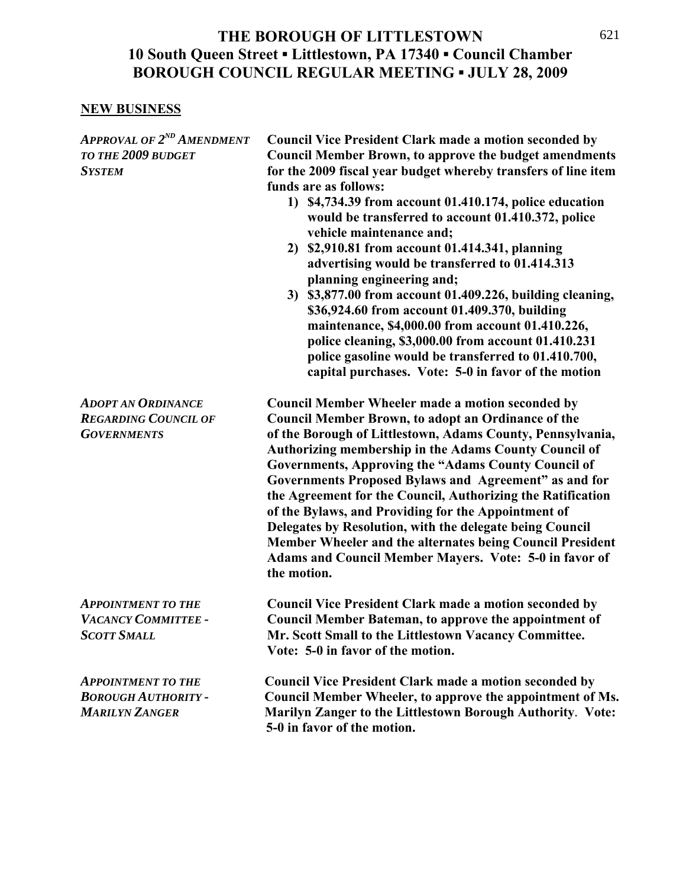#### **NEW BUSINESS**

*APPROVAL OF 2ND AMENDMENT* **Council Vice President Clark made a motion seconded by**  *TO THE 2009 BUDGET* **Council Member Brown, to approve the budget amendments**  *SYSTEM* **for the 2009 fiscal year budget whereby transfers of line item funds are as follows: 1) \$4,734.39 from account 01.410.174, police education would be transferred to account 01.410.372, police vehicle maintenance and; 2) \$2,910.81 from account 01.414.341, planning advertising would be transferred to 01.414.313 planning engineering and; 3) \$3,877.00 from account 01.409.226, building cleaning, \$36,924.60 from account 01.409.370, building maintenance, \$4,000.00 from account 01.410.226, police cleaning, \$3,000.00 from account 01.410.231 police gasoline would be transferred to 01.410.700, capital purchases. Vote: 5-0 in favor of the motion**  *ADOPT AN ORDINANCE* **Council Member Wheeler made a motion seconded by**  *REGARDING COUNCIL OF* **Council Member Brown, to adopt an Ordinance of the**  *GOVERNMENTS* **of the Borough of Littlestown, Adams County, Pennsylvania, Authorizing membership in the Adams County Council of Governments, Approving the "Adams County Council of Governments Proposed Bylaws and Agreement" as and for the Agreement for the Council, Authorizing the Ratification of the Bylaws, and Providing for the Appointment of Delegates by Resolution, with the delegate being Council Member Wheeler and the alternates being Council President Adams and Council Member Mayers. Vote: 5-0 in favor of the motion.**  *APPOINTMENT TO THE* **Council Vice President Clark made a motion seconded by**  *VACANCY COMMITTEE -* **Council Member Bateman, to approve the appointment of**  *SCOTT SMALL* **Mr. Scott Small to the Littlestown Vacancy Committee. Vote: 5-0 in favor of the motion.**  *APPOINTMENT TO THE* **Council Vice President Clark made a motion seconded by**  *BOROUGH AUTHORITY -* **Council Member Wheeler, to approve the appointment of Ms.**  *MARILYN ZANGER* **Marilyn Zanger to the Littlestown Borough Authority**. **Vote: 5-0 in favor of the motion.**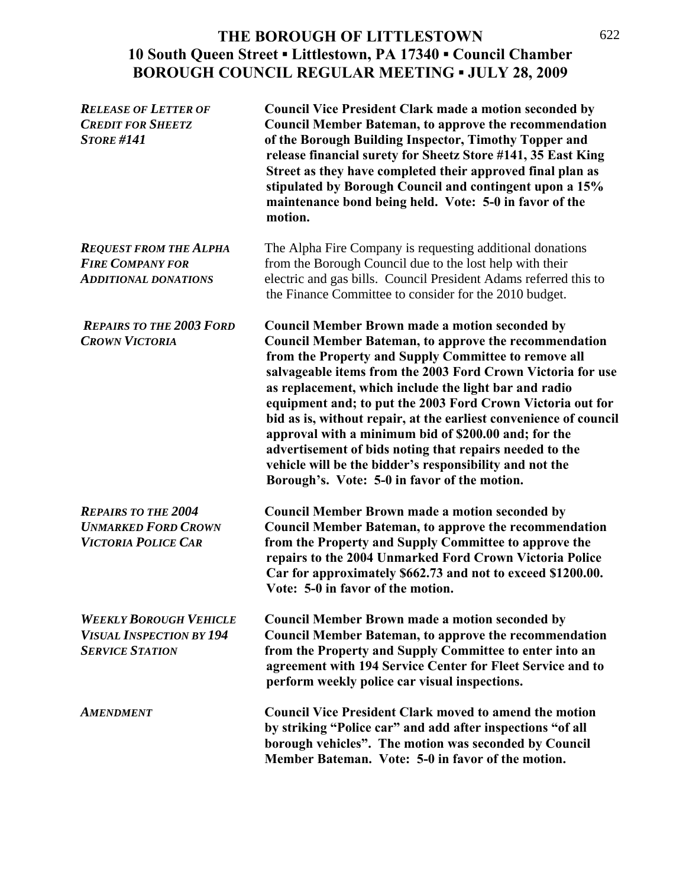| <b>RELEASE OF LETTER OF</b><br><b>CREDIT FOR SHEETZ</b><br><b>STORE #141</b>               | <b>Council Vice President Clark made a motion seconded by</b><br><b>Council Member Bateman, to approve the recommendation</b><br>of the Borough Building Inspector, Timothy Topper and<br>release financial surety for Sheetz Store #141, 35 East King<br>Street as they have completed their approved final plan as<br>stipulated by Borough Council and contingent upon a 15%<br>maintenance bond being held. Vote: 5-0 in favor of the<br>motion.                                                                                                                                                                                                            |
|--------------------------------------------------------------------------------------------|-----------------------------------------------------------------------------------------------------------------------------------------------------------------------------------------------------------------------------------------------------------------------------------------------------------------------------------------------------------------------------------------------------------------------------------------------------------------------------------------------------------------------------------------------------------------------------------------------------------------------------------------------------------------|
| <b>REQUEST FROM THE ALPHA</b><br><b>FIRE COMPANY FOR</b><br><b>ADDITIONAL DONATIONS</b>    | The Alpha Fire Company is requesting additional donations<br>from the Borough Council due to the lost help with their<br>electric and gas bills. Council President Adams referred this to<br>the Finance Committee to consider for the 2010 budget.                                                                                                                                                                                                                                                                                                                                                                                                             |
| <b>REPAIRS TO THE 2003 FORD</b><br><b>CROWN VICTORIA</b>                                   | <b>Council Member Brown made a motion seconded by</b><br>Council Member Bateman, to approve the recommendation<br>from the Property and Supply Committee to remove all<br>salvageable items from the 2003 Ford Crown Victoria for use<br>as replacement, which include the light bar and radio<br>equipment and; to put the 2003 Ford Crown Victoria out for<br>bid as is, without repair, at the earliest convenience of council<br>approval with a minimum bid of \$200.00 and; for the<br>advertisement of bids noting that repairs needed to the<br>vehicle will be the bidder's responsibility and not the<br>Borough's. Vote: 5-0 in favor of the motion. |
| <b>REPAIRS TO THE 2004</b><br><b>UNMARKED FORD CROWN</b><br><b>VICTORIA POLICE CAR</b>     | <b>Council Member Brown made a motion seconded by</b><br><b>Council Member Bateman, to approve the recommendation</b><br>from the Property and Supply Committee to approve the<br>repairs to the 2004 Unmarked Ford Crown Victoria Police<br>Car for approximately \$662.73 and not to exceed \$1200.00.<br>Vote: 5-0 in favor of the motion.                                                                                                                                                                                                                                                                                                                   |
| <b>WEEKLY BOROUGH VEHICLE</b><br><b>VISUAL INSPECTION BY 194</b><br><b>SERVICE STATION</b> | <b>Council Member Brown made a motion seconded by</b><br><b>Council Member Bateman, to approve the recommendation</b><br>from the Property and Supply Committee to enter into an<br>agreement with 194 Service Center for Fleet Service and to<br>perform weekly police car visual inspections.                                                                                                                                                                                                                                                                                                                                                                 |
| <b>AMENDMENT</b>                                                                           | <b>Council Vice President Clark moved to amend the motion</b><br>by striking "Police car" and add after inspections "of all<br>borough vehicles". The motion was seconded by Council<br>Member Bateman. Vote: 5-0 in favor of the motion.                                                                                                                                                                                                                                                                                                                                                                                                                       |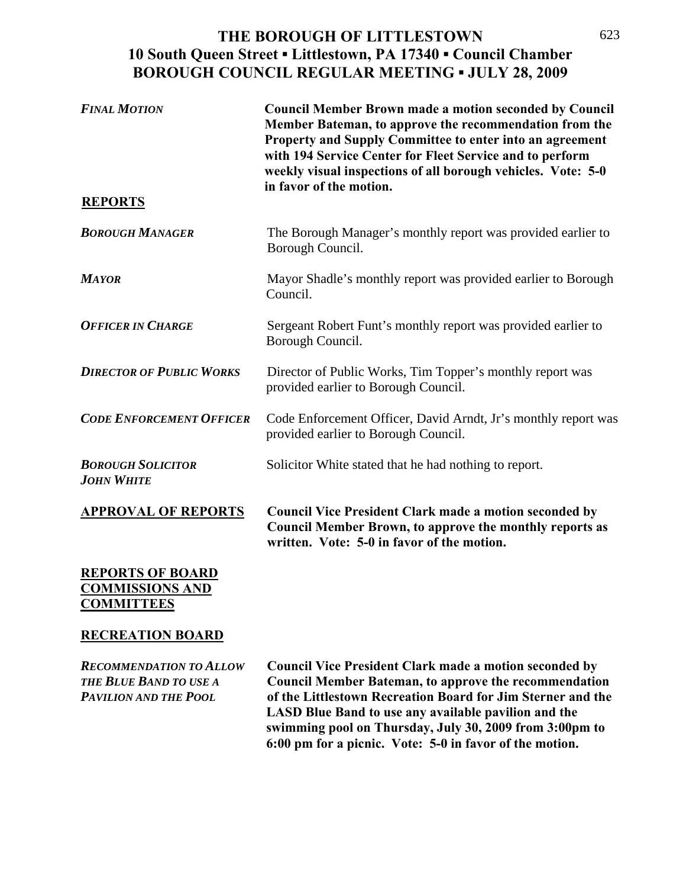| <b>FINAL MOTION</b>                           | <b>Council Member Brown made a motion seconded by Council</b><br>Member Bateman, to approve the recommendation from the<br>Property and Supply Committee to enter into an agreement<br>with 194 Service Center for Fleet Service and to perform<br>weekly visual inspections of all borough vehicles. Vote: 5-0<br>in favor of the motion. |
|-----------------------------------------------|--------------------------------------------------------------------------------------------------------------------------------------------------------------------------------------------------------------------------------------------------------------------------------------------------------------------------------------------|
| <b>REPORTS</b>                                |                                                                                                                                                                                                                                                                                                                                            |
| <b>BOROUGH MANAGER</b>                        | The Borough Manager's monthly report was provided earlier to<br>Borough Council.                                                                                                                                                                                                                                                           |
| <b>MAYOR</b>                                  | Mayor Shadle's monthly report was provided earlier to Borough<br>Council.                                                                                                                                                                                                                                                                  |
| <b>OFFICER IN CHARGE</b>                      | Sergeant Robert Funt's monthly report was provided earlier to<br>Borough Council.                                                                                                                                                                                                                                                          |
| <b>DIRECTOR OF PUBLIC WORKS</b>               | Director of Public Works, Tim Topper's monthly report was<br>provided earlier to Borough Council.                                                                                                                                                                                                                                          |
| <b>CODE ENFORCEMENT OFFICER</b>               | Code Enforcement Officer, David Arndt, Jr's monthly report was<br>provided earlier to Borough Council.                                                                                                                                                                                                                                     |
| <b>BOROUGH SOLICITOR</b><br><b>JOHN WHITE</b> | Solicitor White stated that he had nothing to report.                                                                                                                                                                                                                                                                                      |
| <b>APPROVAL OF REPORTS</b>                    | <b>Council Vice President Clark made a motion seconded by</b><br>Council Member Brown, to approve the monthly reports as<br>written. Vote: 5-0 in favor of the motion.                                                                                                                                                                     |
| <b>REPORTS OF BOARD</b>                       |                                                                                                                                                                                                                                                                                                                                            |

# **COMMISSIONS AND COMMITTEES**

#### **RECREATION BOARD**

*RECOMMENDATION TO ALLOW* **Council Vice President Clark made a motion seconded by** *THE BLUE BAND TO USE A* **Council Member Bateman, to approve the recommendation**  *PAVILION AND THE POOL* **of the Littlestown Recreation Board for Jim Sterner and the LASD Blue Band to use any available pavilion and the swimming pool on Thursday, July 30, 2009 from 3:00pm to 6:00 pm for a picnic. Vote: 5-0 in favor of the motion.**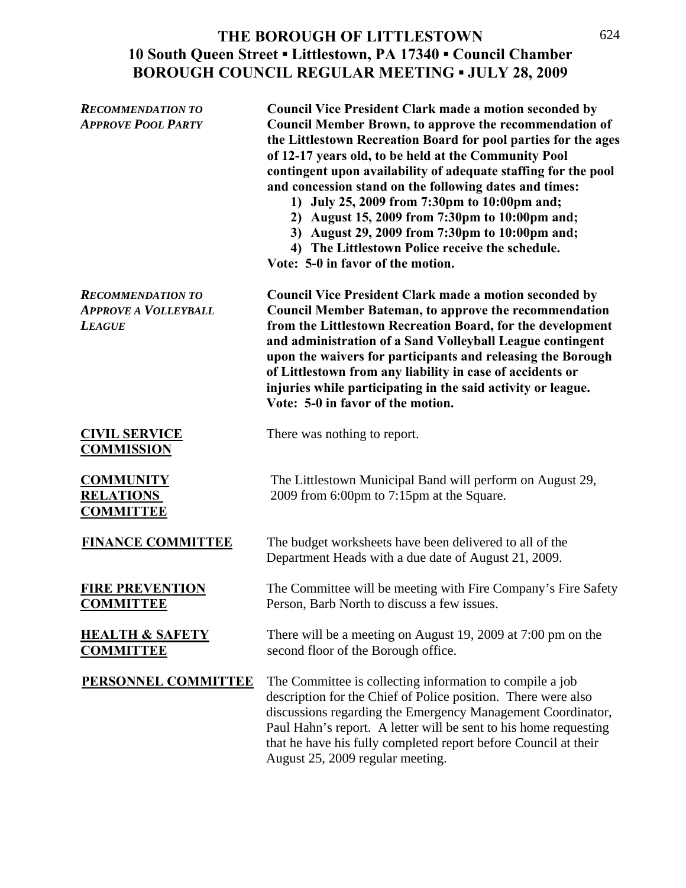| <b>RECOMMENDATION TO</b><br><b>APPROVE POOL PARTY</b>                    | <b>Council Vice President Clark made a motion seconded by</b><br><b>Council Member Brown, to approve the recommendation of</b><br>the Littlestown Recreation Board for pool parties for the ages<br>of 12-17 years old, to be held at the Community Pool<br>contingent upon availability of adequate staffing for the pool<br>and concession stand on the following dates and times:<br>1) July 25, 2009 from 7:30pm to 10:00pm and;<br>2) August 15, 2009 from 7:30pm to 10:00pm and;<br>3) August 29, 2009 from 7:30pm to 10:00pm and;<br>4) The Littlestown Police receive the schedule.<br>Vote: 5-0 in favor of the motion. |
|--------------------------------------------------------------------------|----------------------------------------------------------------------------------------------------------------------------------------------------------------------------------------------------------------------------------------------------------------------------------------------------------------------------------------------------------------------------------------------------------------------------------------------------------------------------------------------------------------------------------------------------------------------------------------------------------------------------------|
| <b>RECOMMENDATION TO</b><br><b>APPROVE A VOLLEYBALL</b><br><b>LEAGUE</b> | <b>Council Vice President Clark made a motion seconded by</b><br><b>Council Member Bateman, to approve the recommendation</b><br>from the Littlestown Recreation Board, for the development<br>and administration of a Sand Volleyball League contingent<br>upon the waivers for participants and releasing the Borough<br>of Littlestown from any liability in case of accidents or<br>injuries while participating in the said activity or league.<br>Vote: 5-0 in favor of the motion.                                                                                                                                        |
| <b>CIVIL SERVICE</b><br><b>COMMISSION</b>                                | There was nothing to report.                                                                                                                                                                                                                                                                                                                                                                                                                                                                                                                                                                                                     |
| <b>COMMUNITY</b><br><b>RELATIONS</b><br><b>COMMITTEE</b>                 | The Littlestown Municipal Band will perform on August 29,<br>2009 from 6:00pm to 7:15pm at the Square.                                                                                                                                                                                                                                                                                                                                                                                                                                                                                                                           |
| <b>FINANCE COMMITTEE</b>                                                 | The budget worksheets have been delivered to all of the<br>Department Heads with a due date of August 21, 2009.                                                                                                                                                                                                                                                                                                                                                                                                                                                                                                                  |
| <b>FIRE PREVENTION</b><br><b>COMMITTEE</b>                               | The Committee will be meeting with Fire Company's Fire Safety<br>Person, Barb North to discuss a few issues.                                                                                                                                                                                                                                                                                                                                                                                                                                                                                                                     |
| <b>HEALTH &amp; SAFETY</b><br><b>COMMITTEE</b>                           | There will be a meeting on August 19, 2009 at 7:00 pm on the<br>second floor of the Borough office.                                                                                                                                                                                                                                                                                                                                                                                                                                                                                                                              |
| PERSONNEL COMMITTEE                                                      | The Committee is collecting information to compile a job<br>description for the Chief of Police position. There were also<br>discussions regarding the Emergency Management Coordinator,<br>Paul Hahn's report. A letter will be sent to his home requesting<br>that he have his fully completed report before Council at their<br>August 25, 2009 regular meeting.                                                                                                                                                                                                                                                              |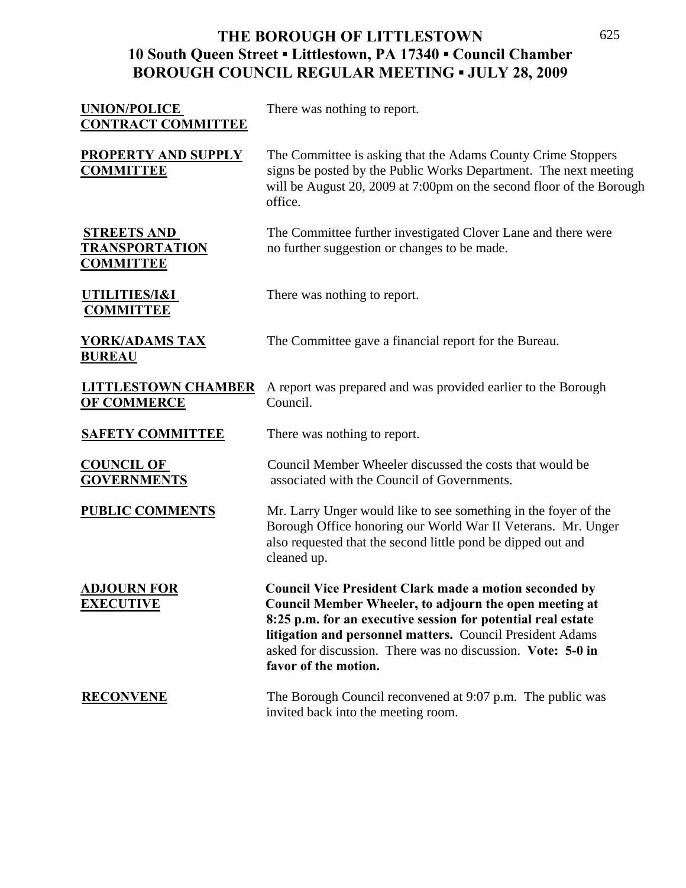| <b>UNION/POLICE</b><br><b>CONTRACT COMMITTEE</b>                | There was nothing to report.                                                                                                                                                                                                                                                                                                                |
|-----------------------------------------------------------------|---------------------------------------------------------------------------------------------------------------------------------------------------------------------------------------------------------------------------------------------------------------------------------------------------------------------------------------------|
| PROPERTY AND SUPPLY<br><b>COMMITTEE</b>                         | The Committee is asking that the Adams County Crime Stoppers<br>signs be posted by the Public Works Department. The next meeting<br>will be August 20, 2009 at 7:00pm on the second floor of the Borough<br>office.                                                                                                                         |
| <b>STREETS AND</b><br><u>TRANSPORTATION</u><br><b>COMMITTEE</b> | The Committee further investigated Clover Lane and there were<br>no further suggestion or changes to be made.                                                                                                                                                                                                                               |
| UTILITIES/I&I<br><b>COMMITTEE</b>                               | There was nothing to report.                                                                                                                                                                                                                                                                                                                |
| <b>YORK/ADAMS TAX</b><br><b>BUREAU</b>                          | The Committee gave a financial report for the Bureau.                                                                                                                                                                                                                                                                                       |
| <b>LITTLESTOWN CHAMBER</b><br><b>OF COMMERCE</b>                | A report was prepared and was provided earlier to the Borough<br>Council.                                                                                                                                                                                                                                                                   |
| <b>SAFETY COMMITTEE</b>                                         | There was nothing to report.                                                                                                                                                                                                                                                                                                                |
| <b>COUNCIL OF</b><br><b>GOVERNMENTS</b>                         | Council Member Wheeler discussed the costs that would be<br>associated with the Council of Governments.                                                                                                                                                                                                                                     |
| <b>PUBLIC COMMENTS</b>                                          | Mr. Larry Unger would like to see something in the foyer of the<br>Borough Office honoring our World War II Veterans. Mr. Unger<br>also requested that the second little pond be dipped out and<br>cleaned up.                                                                                                                              |
| <b>ADJOURN FOR</b><br><b>EXECUTIVE</b>                          | <b>Council Vice President Clark made a motion seconded by</b><br>Council Member Wheeler, to adjourn the open meeting at<br>8:25 p.m. for an executive session for potential real estate<br>litigation and personnel matters. Council President Adams<br>asked for discussion. There was no discussion. Vote: 5-0 in<br>favor of the motion. |
| <b>RECONVENE</b>                                                | The Borough Council reconvened at 9:07 p.m. The public was<br>invited back into the meeting room.                                                                                                                                                                                                                                           |